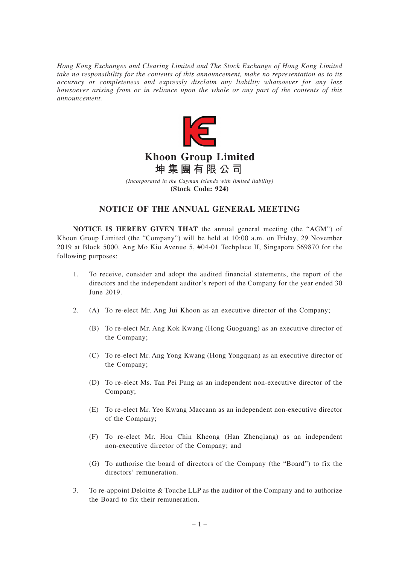*Hong Kong Exchanges and Clearing Limited and The Stock Exchange of Hong Kong Limited take no responsibility for the contents of this announcement, make no representation as to its accuracy or completeness and expressly disclaim any liability whatsoever for any loss howsoever arising from or in reliance upon the whole or any part of the contents of this announcement.*



## **Khoon Group Limited 坤集團有限公司**

*(Incorporated in the Cayman Islands with limited liability)* **(Stock Code: 924)**

## **NOTICE OF THE ANNUAL GENERAL MEETING**

**NOTICE IS HEREBY GIVEN THAT** the annual general meeting (the "AGM") of Khoon Group Limited (the "Company") will be held at 10:00 a.m. on Friday, 29 November 2019 at Block 5000, Ang Mo Kio Avenue 5, #04-01 Techplace II, Singapore 569870 for the following purposes:

- 1. To receive, consider and adopt the audited financial statements, the report of the directors and the independent auditor's report of the Company for the year ended 30 June 2019.
- 2. (A) To re-elect Mr. Ang Jui Khoon as an executive director of the Company;
	- (B) To re-elect Mr. Ang Kok Kwang (Hong Guoguang) as an executive director of the Company;
	- (C) To re-elect Mr. Ang Yong Kwang (Hong Yongquan) as an executive director of the Company;
	- (D) To re-elect Ms. Tan Pei Fung as an independent non-executive director of the Company;
	- (E) To re-elect Mr. Yeo Kwang Maccann as an independent non-executive director of the Company;
	- (F) To re-elect Mr. Hon Chin Kheong (Han Zhenqiang) as an independent non-executive director of the Company; and
	- (G) To authorise the board of directors of the Company (the "Board") to fix the directors' remuneration.
- 3. To re-appoint Deloitte & Touche LLP as the auditor of the Company and to authorize the Board to fix their remuneration.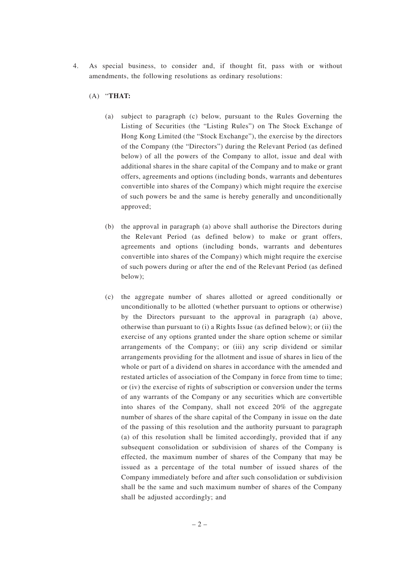4. As special business, to consider and, if thought fit, pass with or without amendments, the following resolutions as ordinary resolutions:

## (A) "**THAT:**

- (a) subject to paragraph (c) below, pursuant to the Rules Governing the Listing of Securities (the "Listing Rules") on The Stock Exchange of Hong Kong Limited (the "Stock Exchange"), the exercise by the directors of the Company (the "Directors") during the Relevant Period (as defined below) of all the powers of the Company to allot, issue and deal with additional shares in the share capital of the Company and to make or grant offers, agreements and options (including bonds, warrants and debentures convertible into shares of the Company) which might require the exercise of such powers be and the same is hereby generally and unconditionally approved;
- (b) the approval in paragraph (a) above shall authorise the Directors during the Relevant Period (as defined below) to make or grant offers, agreements and options (including bonds, warrants and debentures convertible into shares of the Company) which might require the exercise of such powers during or after the end of the Relevant Period (as defined below);
- (c) the aggregate number of shares allotted or agreed conditionally or unconditionally to be allotted (whether pursuant to options or otherwise) by the Directors pursuant to the approval in paragraph (a) above, otherwise than pursuant to (i) a Rights Issue (as defined below); or (ii) the exercise of any options granted under the share option scheme or similar arrangements of the Company; or (iii) any scrip dividend or similar arrangements providing for the allotment and issue of shares in lieu of the whole or part of a dividend on shares in accordance with the amended and restated articles of association of the Company in force from time to time; or (iv) the exercise of rights of subscription or conversion under the terms of any warrants of the Company or any securities which are convertible into shares of the Company, shall not exceed 20% of the aggregate number of shares of the share capital of the Company in issue on the date of the passing of this resolution and the authority pursuant to paragraph (a) of this resolution shall be limited accordingly, provided that if any subsequent consolidation or subdivision of shares of the Company is effected, the maximum number of shares of the Company that may be issued as a percentage of the total number of issued shares of the Company immediately before and after such consolidation or subdivision shall be the same and such maximum number of shares of the Company shall be adjusted accordingly; and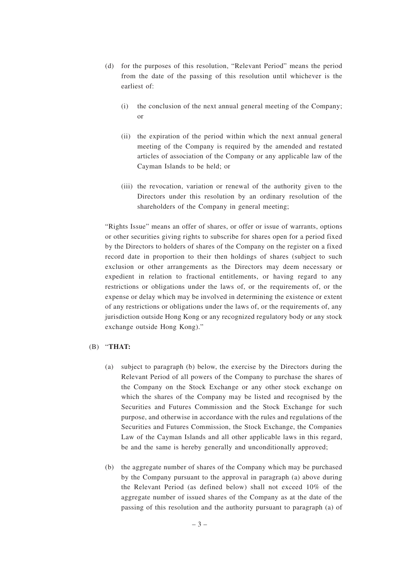- (d) for the purposes of this resolution, "Relevant Period" means the period from the date of the passing of this resolution until whichever is the earliest of:
	- (i) the conclusion of the next annual general meeting of the Company; or
	- (ii) the expiration of the period within which the next annual general meeting of the Company is required by the amended and restated articles of association of the Company or any applicable law of the Cayman Islands to be held; or
	- (iii) the revocation, variation or renewal of the authority given to the Directors under this resolution by an ordinary resolution of the shareholders of the Company in general meeting;

"Rights Issue" means an offer of shares, or offer or issue of warrants, options or other securities giving rights to subscribe for shares open for a period fixed by the Directors to holders of shares of the Company on the register on a fixed record date in proportion to their then holdings of shares (subject to such exclusion or other arrangements as the Directors may deem necessary or expedient in relation to fractional entitlements, or having regard to any restrictions or obligations under the laws of, or the requirements of, or the expense or delay which may be involved in determining the existence or extent of any restrictions or obligations under the laws of, or the requirements of, any jurisdiction outside Hong Kong or any recognized regulatory body or any stock exchange outside Hong Kong)."

## (B) "**THAT:**

- (a) subject to paragraph (b) below, the exercise by the Directors during the Relevant Period of all powers of the Company to purchase the shares of the Company on the Stock Exchange or any other stock exchange on which the shares of the Company may be listed and recognised by the Securities and Futures Commission and the Stock Exchange for such purpose, and otherwise in accordance with the rules and regulations of the Securities and Futures Commission, the Stock Exchange, the Companies Law of the Cayman Islands and all other applicable laws in this regard, be and the same is hereby generally and unconditionally approved;
- (b) the aggregate number of shares of the Company which may be purchased by the Company pursuant to the approval in paragraph (a) above during the Relevant Period (as defined below) shall not exceed 10% of the aggregate number of issued shares of the Company as at the date of the passing of this resolution and the authority pursuant to paragraph (a) of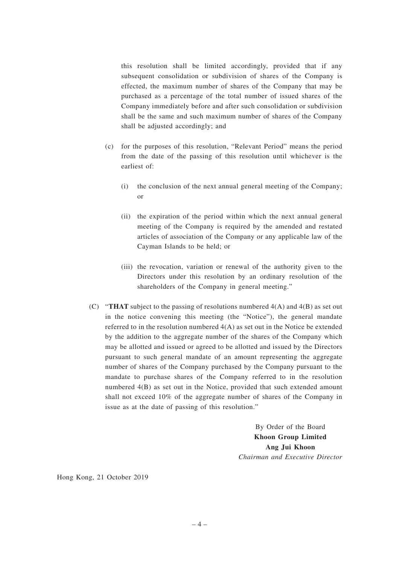this resolution shall be limited accordingly, provided that if any subsequent consolidation or subdivision of shares of the Company is effected, the maximum number of shares of the Company that may be purchased as a percentage of the total number of issued shares of the Company immediately before and after such consolidation or subdivision shall be the same and such maximum number of shares of the Company shall be adjusted accordingly; and

- (c) for the purposes of this resolution, "Relevant Period" means the period from the date of the passing of this resolution until whichever is the earliest of:
	- (i) the conclusion of the next annual general meeting of the Company; or
	- (ii) the expiration of the period within which the next annual general meeting of the Company is required by the amended and restated articles of association of the Company or any applicable law of the Cayman Islands to be held; or
	- (iii) the revocation, variation or renewal of the authority given to the Directors under this resolution by an ordinary resolution of the shareholders of the Company in general meeting."
- (C) "**THAT** subject to the passing of resolutions numbered 4(A) and 4(B) as set out in the notice convening this meeting (the "Notice"), the general mandate referred to in the resolution numbered 4(A) as set out in the Notice be extended by the addition to the aggregate number of the shares of the Company which may be allotted and issued or agreed to be allotted and issued by the Directors pursuant to such general mandate of an amount representing the aggregate number of shares of the Company purchased by the Company pursuant to the mandate to purchase shares of the Company referred to in the resolution numbered 4(B) as set out in the Notice, provided that such extended amount shall not exceed 10% of the aggregate number of shares of the Company in issue as at the date of passing of this resolution."

By Order of the Board **Khoon Group Limited Ang Jui Khoon** *Chairman and Executive Director*

Hong Kong, 21 October 2019